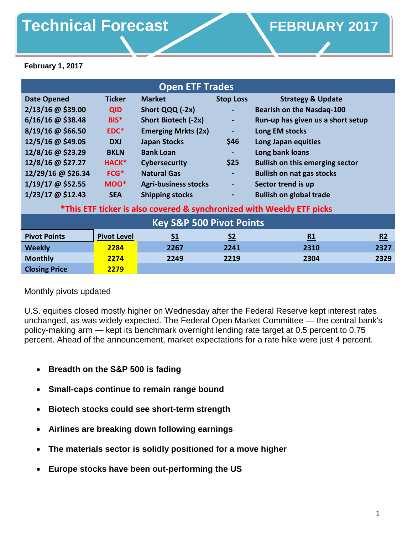# Technical Forecast **CONFINGLARY FEBRUARY** 2017

**February 1, 2017**

| <b>Open ETF Trades</b>                                                |                    |                             |                  |                                        |      |
|-----------------------------------------------------------------------|--------------------|-----------------------------|------------------|----------------------------------------|------|
| <b>Date Opened</b>                                                    | <b>Ticker</b>      | <b>Market</b>               | <b>Stop Loss</b> | <b>Strategy &amp; Update</b>           |      |
| $2/13/16$ @ \$39.00                                                   | <b>QID</b>         | Short QQQ (-2x)             | $\sim$           | <b>Bearish on the Nasdaq-100</b>       |      |
| $6/16/16$ @ \$38.48                                                   | BIS <sup>*</sup>   | Short Biotech (-2x)         | ٠                | Run-up has given us a short setup      |      |
| $8/19/16$ @ \$66.50                                                   | EDC*               | <b>Emerging Mrkts (2x)</b>  | $\blacksquare$   | Long EM stocks                         |      |
| 12/5/16 @ \$49.05                                                     | <b>DXJ</b>         | <b>Japan Stocks</b>         | \$46             | Long Japan equities                    |      |
| 12/8/16 @ \$23.29                                                     | <b>BKLN</b>        | <b>Bank Loan</b>            |                  | Long bank loans                        |      |
| 12/8/16 @ \$27.27                                                     | HACK*              | <b>Cybersecurity</b>        | \$25             | <b>Bullish on this emerging sector</b> |      |
| 12/29/16 @ \$26.34                                                    | $FCG*$             | <b>Natural Gas</b>          | ٠                | <b>Bullish on nat gas stocks</b>       |      |
| 1/19/17 @ \$52.55                                                     | MOO*               | <b>Agri-business stocks</b> | $\blacksquare$   | Sector trend is up                     |      |
| 1/23/17 @ \$12.43                                                     | <b>SEA</b>         | <b>Shipping stocks</b>      | ٠                | <b>Bullish on global trade</b>         |      |
| *This ETF ticker is also covered & synchronized with Weekly ETF picks |                    |                             |                  |                                        |      |
| <b>Key S&amp;P 500 Pivot Points</b>                                   |                    |                             |                  |                                        |      |
| <b>Pivot Points</b>                                                   | <b>Pivot Level</b> | S <sub>1</sub>              | S <sub>2</sub>   | R1                                     | R2   |
| <b>Weekly</b>                                                         | 2284               | 2267                        | 2241             | 2310                                   | 2327 |
| <b>Monthly</b>                                                        | 2274               | 2249                        | 2219             | 2304                                   | 2329 |
| <b>Closing Price</b>                                                  | 2279               |                             |                  |                                        |      |

## Monthly pivots updated

U.S. equities closed mostly higher on Wednesday after the Federal Reserve kept interest rates unchanged, as was widely expected. The Federal Open Market Committee — the central bank's policy-making arm — kept its benchmark overnight lending rate target at 0.5 percent to 0.75 percent. Ahead of the announcement, market expectations for a rate hike were just 4 percent.

- **Breadth on the S&P 500 is fading**
- **Small-caps continue to remain range bound**
- **Biotech stocks could see short-term strength**
- **Airlines are breaking down following earnings**
- **The materials sector is solidly positioned for a move higher**
- **Europe stocks have been out-performing the US**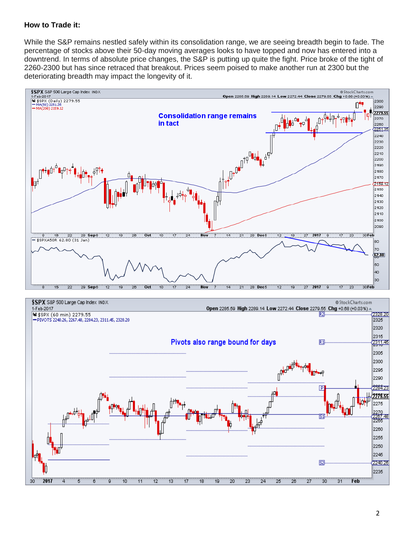#### **How to Trade it:**

While the S&P remains nestled safely within its consolidation range, we are seeing breadth begin to fade. The percentage of stocks above their 50-day moving averages looks to have topped and now has entered into a downtrend. In terms of absolute price changes, the S&P is putting up quite the fight. Price broke of the tight of 2260-2300 but has since retraced that breakout. Prices seem poised to make another run at 2300 but the deteriorating breadth may impact the longevity of it.



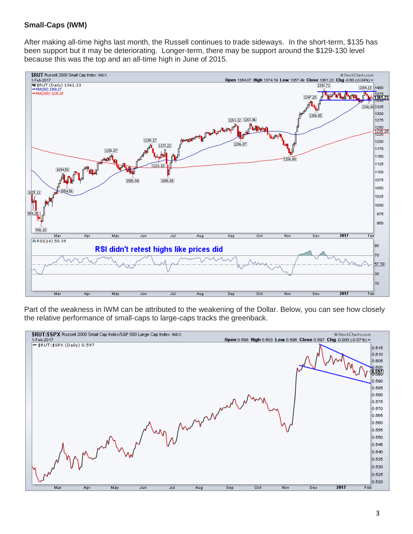#### **Small-Caps (IWM)**

After making all-time highs last month, the Russell continues to trade sideways. In the short-term, \$135 has been support but it may be deteriorating. Longer-term, there may be support around the \$129-130 level because this was the top and an all-time high in June of 2015.



Part of the weakness in IWM can be attributed to the weakening of the Dollar. Below, you can see how closely the relative performance of small-caps to large-caps tracks the greenback.

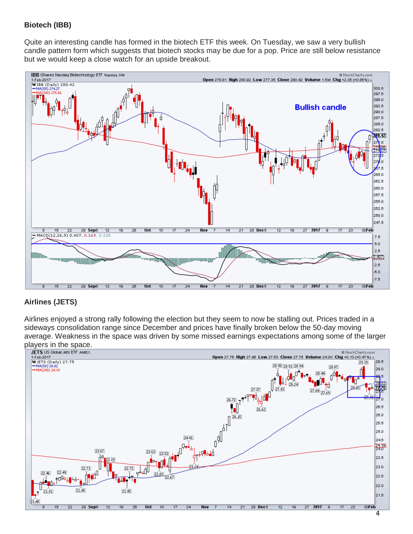# **Biotech (IBB)**

Quite an interesting candle has formed in the biotech ETF this week. On Tuesday, we saw a very bullish candle pattern form which suggests that biotech stocks may be due for a pop. Price are still below resistance but we would keep a close watch for an upside breakout.



### **Airlines (JETS)**

Airlines enjoyed a strong rally following the election but they seem to now be stalling out. Prices traded in a sideways consolidation range since December and prices have finally broken below the 50-day moving average. Weakness in the space was driven by some missed earnings expectations among some of the larger players in the space.